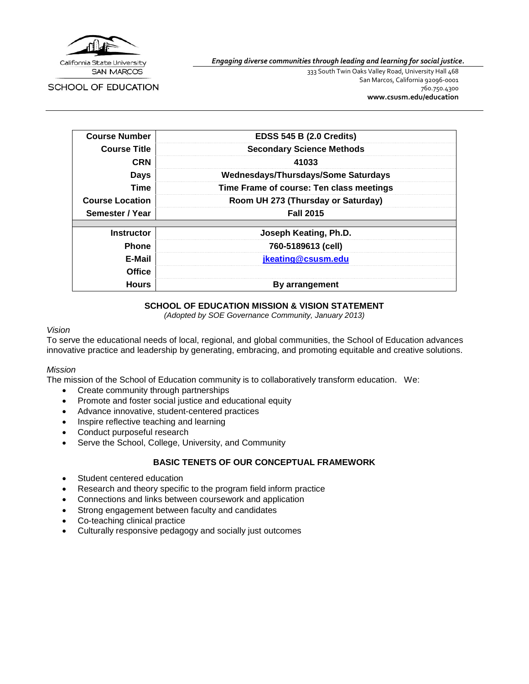

**SAN MARCOS** 

SCHOOL OF EDUCATION

*Engaging diverse communities through leading and learning for social justice.*

333 South Twin Oaks Valley Road, University Hall 468 San Marcos, California 92096-0001 760.750.4300 **[www.csusm.edu/education](http://www.csusm.edu/education)**

| <b>Course Number</b>   | <b>EDSS 545 B (2.0 Credits)</b>          |
|------------------------|------------------------------------------|
| <b>Course Title</b>    | <b>Secondary Science Methods</b>         |
| <b>CRN</b>             | 41033                                    |
| <b>Days</b>            | Wednesdays/Thursdays/Some Saturdays      |
| Time                   | Time Frame of course: Ten class meetings |
| <b>Course Location</b> | Room UH 273 (Thursday or Saturday)       |
| Semester / Year        | <b>Fall 2015</b>                         |
| <b>Instructor</b>      | Joseph Keating, Ph.D.                    |
| <b>Phone</b>           | 760-5189613 (cell)                       |
| E-Mail                 | jkeating@csusm.edu                       |
| <b>Office</b>          |                                          |
| <b>Hours</b>           | By arrangement                           |

#### **SCHOOL OF EDUCATION MISSION & VISION STATEMENT**

*(Adopted by SOE Governance Community, January 2013)*

#### *Vision*

To serve the educational needs of local, regional, and global communities, the School of Education advances innovative practice and leadership by generating, embracing, and promoting equitable and creative solutions.

#### *Mission*

The mission of the School of Education community is to collaboratively transform education. We:

- Create community through partnerships
- Promote and foster social justice and educational equity
- Advance innovative, student-centered practices
- Inspire reflective teaching and learning
- Conduct purposeful research
- Serve the School, College, University, and Community

### **BASIC TENETS OF OUR CONCEPTUAL FRAMEWORK**

- Student centered education
- Research and theory specific to the program field inform practice
- Connections and links between coursework and application
- Strong engagement between faculty and candidates
- Co-teaching clinical practice
- Culturally responsive pedagogy and socially just outcomes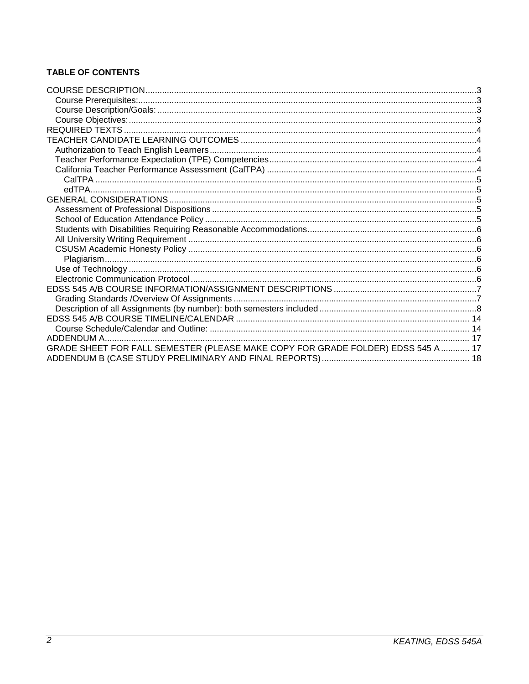## **TABLE OF CONTENTS**

| GRADE SHEET FOR FALL SEMESTER (PLEASE MAKE COPY FOR GRADE FOLDER) EDSS 545 A  17 |  |
|----------------------------------------------------------------------------------|--|
|                                                                                  |  |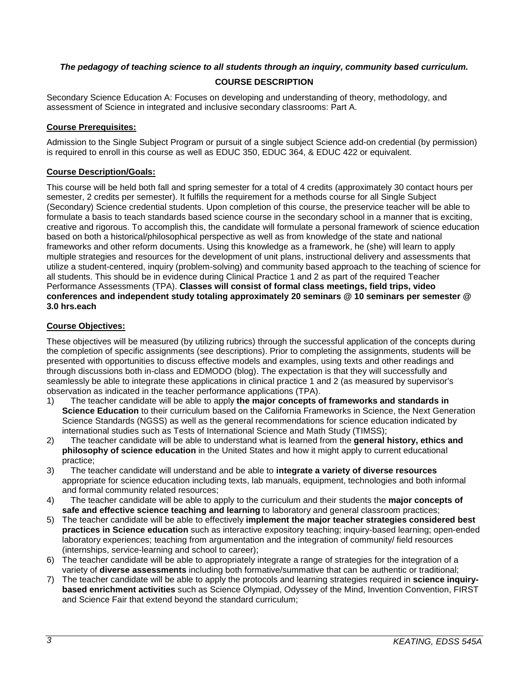## <span id="page-2-0"></span>*The pedagogy of teaching science to all students through an inquiry, community based curriculum.*

## **COURSE DESCRIPTION**

Secondary Science Education A: Focuses on developing and understanding of theory, methodology, and assessment of Science in integrated and inclusive secondary classrooms: Part A.

#### <span id="page-2-1"></span>**Course Prerequisites:**

Admission to the Single Subject Program or pursuit of a single subject Science add-on credential (by permission) is required to enroll in this course as well as EDUC 350, EDUC 364, & EDUC 422 or equivalent.

#### <span id="page-2-2"></span>**Course Description/Goals:**

This course will be held both fall and spring semester for a total of 4 credits (approximately 30 contact hours per semester, 2 credits per semester). It fulfills the requirement for a methods course for all Single Subject (Secondary) Science credential students. Upon completion of this course, the preservice teacher will be able to formulate a basis to teach standards based science course in the secondary school in a manner that is exciting, creative and rigorous. To accomplish this, the candidate will formulate a personal framework of science education based on both a historical/philosophical perspective as well as from knowledge of the state and national frameworks and other reform documents. Using this knowledge as a framework, he (she) will learn to apply multiple strategies and resources for the development of unit plans, instructional delivery and assessments that utilize a student-centered, inquiry (problem-solving) and community based approach to the teaching of science for all students. This should be in evidence during Clinical Practice 1 and 2 as part of the required Teacher Performance Assessments (TPA). **Classes will consist of formal class meetings, field trips, video conferences and independent study totaling approximately 20 seminars @ 10 seminars per semester @ 3.0 hrs.each**

### <span id="page-2-3"></span>**Course Objectives:**

These objectives will be measured (by utilizing rubrics) through the successful application of the concepts during the completion of specific assignments (see descriptions). Prior to completing the assignments, students will be presented with opportunities to discuss effective models and examples, using texts and other readings and through discussions both in-class and EDMODO (blog). The expectation is that they will successfully and seamlessly be able to integrate these applications in clinical practice 1 and 2 (as measured by supervisor's observation as indicated in the teacher performance applications (TPA).

- 1) The teacher candidate will be able to apply **the major concepts of frameworks and standards in Science Education** to their curriculum based on the California Frameworks in Science, the Next Generation Science Standards (NGSS) as well as the general recommendations for science education indicated by international studies such as Tests of International Science and Math Study (TIMSS);
- 2) The teacher candidate will be able to understand what is learned from the **general history, ethics and philosophy of science education** in the United States and how it might apply to current educational practice;
- 3) The teacher candidate will understand and be able to **integrate a variety of diverse resources**  appropriate for science education including texts, lab manuals, equipment, technologies and both informal and formal community related resources;
- 4) The teacher candidate will be able to apply to the curriculum and their students the **major concepts of safe and effective science teaching and learning** to laboratory and general classroom practices;
- 5) The teacher candidate will be able to effectively **implement the major teacher strategies considered best practices in Science education** such as interactive expository teaching; inquiry-based learning; open-ended laboratory experiences; teaching from argumentation and the integration of community/ field resources (internships, service-learning and school to career);
- 6) The teacher candidate will be able to appropriately integrate a range of strategies for the integration of a variety of **diverse assessments** including both formative/summative that can be authentic or traditional;
- 7) The teacher candidate will be able to apply the protocols and learning strategies required in **science inquirybased enrichment activities** such as Science Olympiad, Odyssey of the Mind, Invention Convention, FIRST and Science Fair that extend beyond the standard curriculum;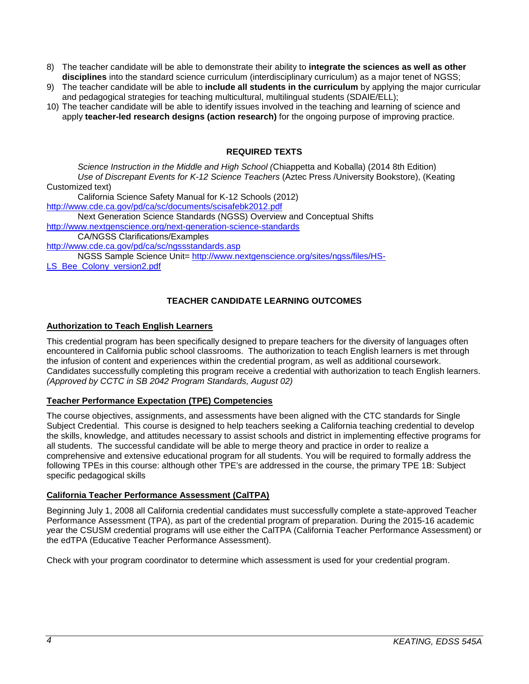- 8) The teacher candidate will be able to demonstrate their ability to **integrate the sciences as well as other disciplines** into the standard science curriculum (interdisciplinary curriculum) as a major tenet of NGSS;
- 9) The teacher candidate will be able to **include all students in the curriculum** by applying the major curricular and pedagogical strategies for teaching multicultural, multilingual students (SDAIE/ELL);
- 10) The teacher candidate will be able to identify issues involved in the teaching and learning of science and apply **teacher-led research designs (action research)** for the ongoing purpose of improving practice.

## **REQUIRED TEXTS**

<span id="page-3-0"></span>*Science Instruction in the Middle and High School (*Chiappetta and Koballa) (2014 8th Edition) *Use of Discrepant Events for K-12 Science Teachers* (Aztec Press /University Bookstore), (Keating Customized text)

California Science Safety Manual for K-12 Schools (2012) <http://www.cde.ca.gov/pd/ca/sc/documents/scisafebk2012.pdf> Next Generation Science Standards (NGSS) Overview and Conceptual Shifts <http://www.nextgenscience.org/next-generation-science-standards>

CA/NGSS Clarifications/Examples

<http://www.cde.ca.gov/pd/ca/sc/ngssstandards.asp>

NGSS Sample Science Unit= [http://www.nextgenscience.org/sites/ngss/files/HS-](http://www.nextgenscience.org/sites/ngss/files/HS-LS_Bee_Colony_version2.pdf)

<span id="page-3-1"></span>[LS\\_Bee\\_Colony\\_version2.pdf](http://www.nextgenscience.org/sites/ngss/files/HS-LS_Bee_Colony_version2.pdf)

## **TEACHER CANDIDATE LEARNING OUTCOMES**

### <span id="page-3-2"></span>**Authorization to Teach English Learners**

This credential program has been specifically designed to prepare teachers for the diversity of languages often encountered in California public school classrooms. The authorization to teach English learners is met through the infusion of content and experiences within the credential program, as well as additional coursework. Candidates successfully completing this program receive a credential with authorization to teach English learners. *(Approved by CCTC in SB 2042 Program Standards, August 02)*

### <span id="page-3-3"></span>**Teacher Performance Expectation (TPE) Competencies**

The course objectives, assignments, and assessments have been aligned with the CTC standards for Single Subject Credential. This course is designed to help teachers seeking a California teaching credential to develop the skills, knowledge, and attitudes necessary to assist schools and district in implementing effective programs for all students. The successful candidate will be able to merge theory and practice in order to realize a comprehensive and extensive educational program for all students. You will be required to formally address the following TPEs in this course: although other TPE's are addressed in the course, the primary TPE 1B: Subject specific pedagogical skills

### <span id="page-3-4"></span>**California Teacher Performance Assessment (CalTPA)**

Beginning July 1, 2008 all California credential candidates must successfully complete a state-approved Teacher Performance Assessment (TPA), as part of the credential program of preparation. During the 2015-16 academic year the CSUSM credential programs will use either the CalTPA (California Teacher Performance Assessment) or the edTPA (Educative Teacher Performance Assessment).

Check with your program coordinator to determine which assessment is used for your credential program.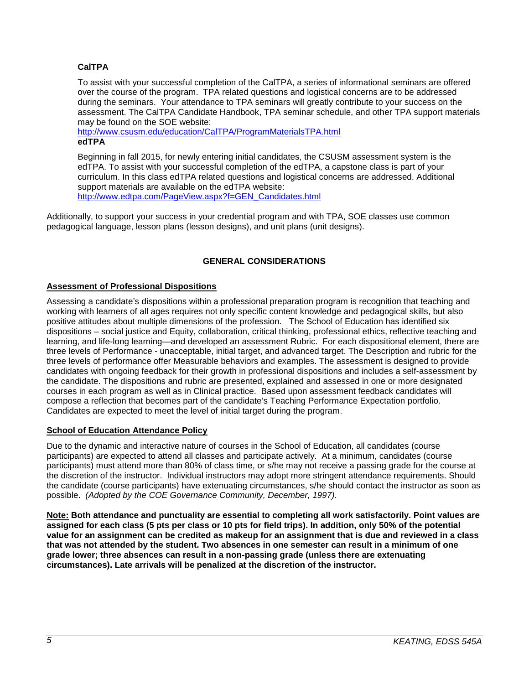## <span id="page-4-0"></span>**CalTPA**

To assist with your successful completion of the CalTPA, a series of informational seminars are offered over the course of the program. TPA related questions and logistical concerns are to be addressed during the seminars. Your attendance to TPA seminars will greatly contribute to your success on the assessment. The CalTPA Candidate Handbook, TPA seminar schedule, and other TPA support materials may be found on the SOE website:

<http://www.csusm.edu/education/CalTPA/ProgramMaterialsTPA.html>

# <span id="page-4-1"></span>**edTPA**

Beginning in fall 2015, for newly entering initial candidates, the CSUSM assessment system is the edTPA. To assist with your successful completion of the edTPA, a capstone class is part of your curriculum. In this class edTPA related questions and logistical concerns are addressed. Additional support materials are available on the edTPA website: [http://www.edtpa.com/PageView.aspx?f=GEN\\_Candidates.html](http://www.edtpa.com/PageView.aspx?f=GEN_Candidates.html)

Additionally, to support your success in your credential program and with TPA, SOE classes use common pedagogical language, lesson plans (lesson designs), and unit plans (unit designs).

## **GENERAL CONSIDERATIONS**

### <span id="page-4-3"></span><span id="page-4-2"></span>**Assessment of Professional Dispositions**

Assessing a candidate's dispositions within a professional preparation program is recognition that teaching and working with learners of all ages requires not only specific content knowledge and pedagogical skills, but also positive attitudes about multiple dimensions of the profession. The School of Education has identified six dispositions – social justice and Equity, collaboration, critical thinking, professional ethics, reflective teaching and learning, and life-long learning—and developed an assessment Rubric. For each dispositional element, there are three levels of Performance - unacceptable, initial target, and advanced target. The Description and rubric for the three levels of performance offer Measurable behaviors and examples. The assessment is designed to provide candidates with ongoing feedback for their growth in professional dispositions and includes a self-assessment by the candidate. The dispositions and rubric are presented, explained and assessed in one or more designated courses in each program as well as in Clinical practice. Based upon assessment feedback candidates will compose a reflection that becomes part of the candidate's Teaching Performance Expectation portfolio. Candidates are expected to meet the level of initial target during the program.

## <span id="page-4-4"></span>**School of Education Attendance Policy**

Due to the dynamic and interactive nature of courses in the School of Education, all candidates (course participants) are expected to attend all classes and participate actively. At a minimum, candidates (course participants) must attend more than 80% of class time, or s/he may not receive a passing grade for the course at the discretion of the instructor. Individual instructors may adopt more stringent attendance requirements. Should the candidate (course participants) have extenuating circumstances, s/he should contact the instructor as soon as possible. *(Adopted by the COE Governance Community, December, 1997).*

**Note: Both attendance and punctuality are essential to completing all work satisfactorily. Point values are assigned for each class (5 pts per class or 10 pts for field trips). In addition, only 50% of the potential value for an assignment can be credited as makeup for an assignment that is due and reviewed in a class that was not attended by the student. Two absences in one semester can result in a minimum of one grade lower; three absences can result in a non-passing grade (unless there are extenuating circumstances). Late arrivals will be penalized at the discretion of the instructor.**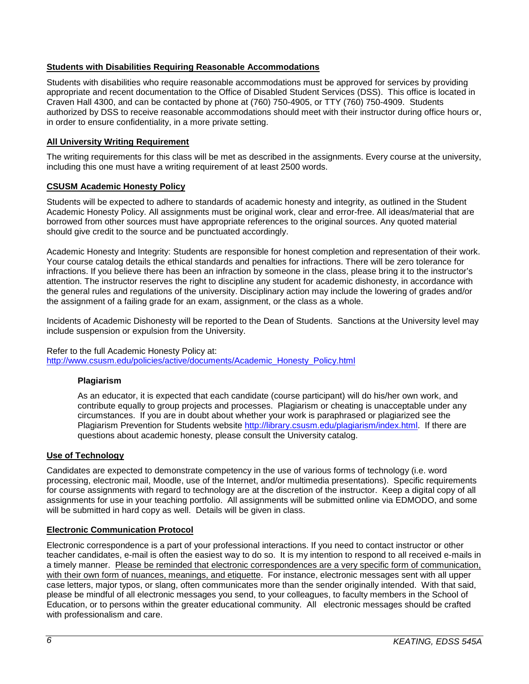## <span id="page-5-0"></span>**Students with Disabilities Requiring Reasonable Accommodations**

Students with disabilities who require reasonable accommodations must be approved for services by providing appropriate and recent documentation to the Office of Disabled Student Services (DSS). This office is located in Craven Hall 4300, and can be contacted by phone at (760) 750-4905, or TTY (760) 750-4909. Students authorized by DSS to receive reasonable accommodations should meet with their instructor during office hours or, in order to ensure confidentiality, in a more private setting.

## <span id="page-5-1"></span>**All University Writing Requirement**

The writing requirements for this class will be met as described in the assignments. Every course at the university, including this one must have a writing requirement of at least 2500 words.

#### <span id="page-5-2"></span>**CSUSM Academic Honesty Policy**

Students will be expected to adhere to standards of academic honesty and integrity, as outlined in the Student Academic Honesty Policy. All assignments must be original work, clear and error-free. All ideas/material that are borrowed from other sources must have appropriate references to the original sources. Any quoted material should give credit to the source and be punctuated accordingly.

Academic Honesty and Integrity: Students are responsible for honest completion and representation of their work. Your course catalog details the ethical standards and penalties for infractions. There will be zero tolerance for infractions. If you believe there has been an infraction by someone in the class, please bring it to the instructor's attention. The instructor reserves the right to discipline any student for academic dishonesty, in accordance with the general rules and regulations of the university. Disciplinary action may include the lowering of grades and/or the assignment of a failing grade for an exam, assignment, or the class as a whole.

Incidents of Academic Dishonesty will be reported to the Dean of Students. Sanctions at the University level may include suspension or expulsion from the University.

#### Refer to the full Academic Honesty Policy at:

<span id="page-5-3"></span>[http://www.csusm.edu/policies/active/documents/Academic\\_Honesty\\_Policy.html](http://www.csusm.edu/policies/active/documents/Academic_Honesty_Policy.html)

### **Plagiarism**

As an educator, it is expected that each candidate (course participant) will do his/her own work, and contribute equally to group projects and processes. Plagiarism or cheating is unacceptable under any circumstances. If you are in doubt about whether your work is paraphrased or plagiarized see the Plagiarism Prevention for Students website [http://library.csusm.edu/plagiarism/index.html.](http://library.csusm.edu/plagiarism/index.html) If there are questions about academic honesty, please consult the University catalog.

#### <span id="page-5-4"></span>**Use of Technology**

Candidates are expected to demonstrate competency in the use of various forms of technology (i.e. word processing, electronic mail, Moodle, use of the Internet, and/or multimedia presentations). Specific requirements for course assignments with regard to technology are at the discretion of the instructor. Keep a digital copy of all assignments for use in your teaching portfolio. All assignments will be submitted online via EDMODO, and some will be submitted in hard copy as well. Details will be given in class.

### <span id="page-5-5"></span>**Electronic Communication Protocol**

Electronic correspondence is a part of your professional interactions. If you need to contact instructor or other teacher candidates, e-mail is often the easiest way to do so. It is my intention to respond to all received e-mails in a timely manner. Please be reminded that electronic correspondences are a very specific form of communication, with their own form of nuances, meanings, and etiquette. For instance, electronic messages sent with all upper case letters, major typos, or slang, often communicates more than the sender originally intended. With that said, please be mindful of all electronic messages you send, to your colleagues, to faculty members in the School of Education, or to persons within the greater educational community. All electronic messages should be crafted with professionalism and care.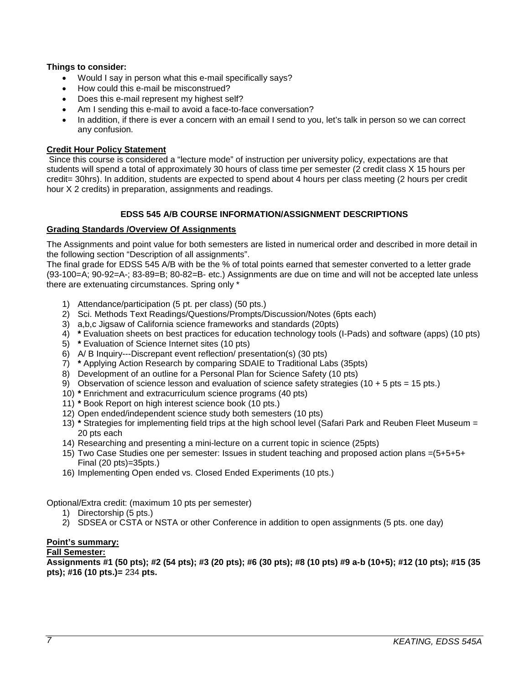### **Things to consider:**

- Would I say in person what this e-mail specifically says?
- How could this e-mail be misconstrued?
- Does this e-mail represent my highest self?
- Am I sending this e-mail to avoid a face-to-face conversation?
- In addition, if there is ever a concern with an email I send to you, let's talk in person so we can correct any confusion.

#### **Credit Hour Policy Statement**

Since this course is considered a "lecture mode" of instruction per university policy, expectations are that students will spend a total of approximately 30 hours of class time per semester (2 credit class X 15 hours per credit= 30hrs). In addition, students are expected to spend about 4 hours per class meeting (2 hours per credit hour X 2 credits) in preparation, assignments and readings.

#### **EDSS 545 A/B COURSE INFORMATION/ASSIGNMENT DESCRIPTIONS**

#### <span id="page-6-1"></span><span id="page-6-0"></span>**Grading Standards /Overview Of Assignments**

The Assignments and point value for both semesters are listed in numerical order and described in more detail in the following section "Description of all assignments".

The final grade for EDSS 545 A/B with be the % of total points earned that semester converted to a letter grade (93-100=A; 90-92=A-; 83-89=B; 80-82=B- etc.) Assignments are due on time and will not be accepted late unless there are extenuating circumstances. Spring only \*

- 1) Attendance/participation (5 pt. per class) (50 pts.)
- 2) Sci. Methods Text Readings/Questions/Prompts/Discussion/Notes (6pts each)
- 3) a,b,c Jigsaw of California science frameworks and standards (20pts)
- 4) **\*** Evaluation sheets on best practices for education technology tools (I-Pads) and software (apps) (10 pts)
- 5) **\*** Evaluation of Science Internet sites (10 pts)
- 6) A/ B Inquiry---Discrepant event reflection/ presentation(s) (30 pts)
- 7) **\*** Applying Action Research by comparing SDAIE to Traditional Labs (35pts)
- 8) Development of an outline for a Personal Plan for Science Safety (10 pts)
- 9) Observation of science lesson and evaluation of science safety strategies (10 + 5 pts = 15 pts.)
- 10) **\*** Enrichment and extracurriculum science programs (40 pts)
- 11) **\*** Book Report on high interest science book (10 pts.)
- 12) Open ended/independent science study both semesters (10 pts)
- 13) **\*** Strategies for implementing field trips at the high school level (Safari Park and Reuben Fleet Museum = 20 pts each
- 14) Researching and presenting a mini-lecture on a current topic in science (25pts)
- 15) Two Case Studies one per semester: Issues in student teaching and proposed action plans =(5+5+5+ Final (20 pts)=35pts.)
- 16) Implementing Open ended vs. Closed Ended Experiments (10 pts.)

Optional/Extra credit: (maximum 10 pts per semester)

- 1) Directorship (5 pts.)
- 2) SDSEA or CSTA or NSTA or other Conference in addition to open assignments (5 pts. one day)

#### **Point's summary: Fall Semester:**

**Assignments #1 (50 pts); #2 (54 pts); #3 (20 pts); #6 (30 pts); #8 (10 pts) #9 a-b (10+5); #12 (10 pts); #15 (35 pts); #16 (10 pts.)=** 234 **pts.**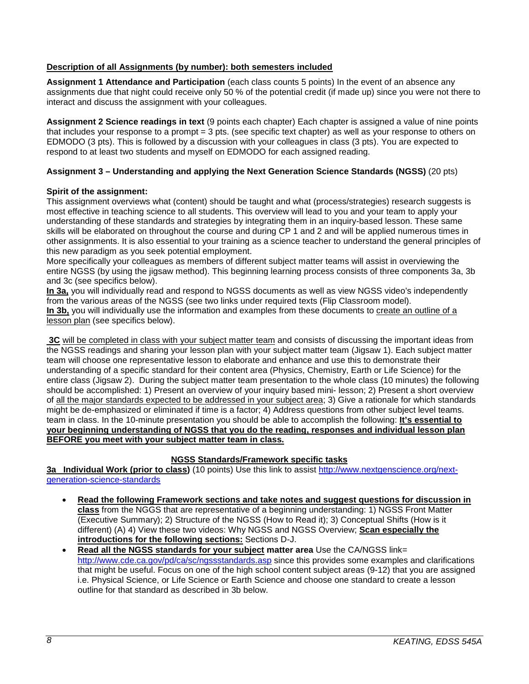## <span id="page-7-0"></span>**Description of all Assignments (by number): both semesters included**

**Assignment 1 Attendance and Participation** (each class counts 5 points) In the event of an absence any assignments due that night could receive only 50 % of the potential credit (if made up) since you were not there to interact and discuss the assignment with your colleagues.

**Assignment 2 Science readings in text** (9 points each chapter) Each chapter is assigned a value of nine points that includes your response to a prompt = 3 pts. (see specific text chapter) as well as your response to others on EDMODO (3 pts). This is followed by a discussion with your colleagues in class (3 pts). You are expected to respond to at least two students and myself on EDMODO for each assigned reading.

## **Assignment 3 – Understanding and applying the Next Generation Science Standards (NGSS)** (20 pts)

### **Spirit of the assignment:**

This assignment overviews what (content) should be taught and what (process/strategies) research suggests is most effective in teaching science to all students. This overview will lead to you and your team to apply your understanding of these standards and strategies by integrating them in an inquiry-based lesson. These same skills will be elaborated on throughout the course and during CP 1 and 2 and will be applied numerous times in other assignments. It is also essential to your training as a science teacher to understand the general principles of this new paradigm as you seek potential employment.

More specifically your colleagues as members of different subject matter teams will assist in overviewing the entire NGSS (by using the jigsaw method). This beginning learning process consists of three components 3a, 3b and 3c (see specifics below).

**In 3a,** you will individually read and respond to NGSS documents as well as view NGSS video's independently from the various areas of the NGSS (see two links under required texts (Flip Classroom model). **In 3b,** you will individually use the information and examples from these documents to create an outline of a lesson plan (see specifics below).

**3C** will be completed in class with your subject matter team and consists of discussing the important ideas from the NGSS readings and sharing your lesson plan with your subject matter team (Jigsaw 1). Each subject matter team will choose one representative lesson to elaborate and enhance and use this to demonstrate their understanding of a specific standard for their content area (Physics, Chemistry, Earth or Life Science) for the entire class (Jigsaw 2). During the subject matter team presentation to the whole class (10 minutes) the following should be accomplished: 1) Present an overview of your inquiry based mini- lesson; 2) Present a short overview of all the major standards expected to be addressed in your subject area; 3) Give a rationale for which standards might be de-emphasized or eliminated if time is a factor; 4) Address questions from other subject level teams. team in class. In the 10-minute presentation you should be able to accomplish the following: **It's essential to your beginning understanding of NGSS that you do the reading, responses and individual lesson plan BEFORE you meet with your subject matter team in class.**

### **NGSS Standards/Framework specific tasks**

**3a Individual Work (prior to class)** (10 points) Use this link to assist [http://www.nextgenscience.org/next](http://www.nextgenscience.org/next-generation-science-standards)[generation-science-standards](http://www.nextgenscience.org/next-generation-science-standards)

- **Read the following Framework sections and take notes and suggest questions for discussion in class** from the NGGS that are representative of a beginning understanding: 1) NGSS Front Matter (Executive Summary); 2) Structure of the NGSS (How to Read it); 3) Conceptual Shifts (How is it different) (A) 4) View these two videos: Why NGSS and NGSS Overview; **Scan especially the introductions for the following sections:** Sections D-J.
- **Read all the NGSS standards for your subject matter area** Use the CA/NGSS link= <http://www.cde.ca.gov/pd/ca/sc/ngssstandards.asp> since this provides some examples and clarifications that might be useful. Focus on one of the high school content subject areas (9-12) that you are assigned i.e. Physical Science, or Life Science or Earth Science and choose one standard to create a lesson outline for that standard as described in 3b below.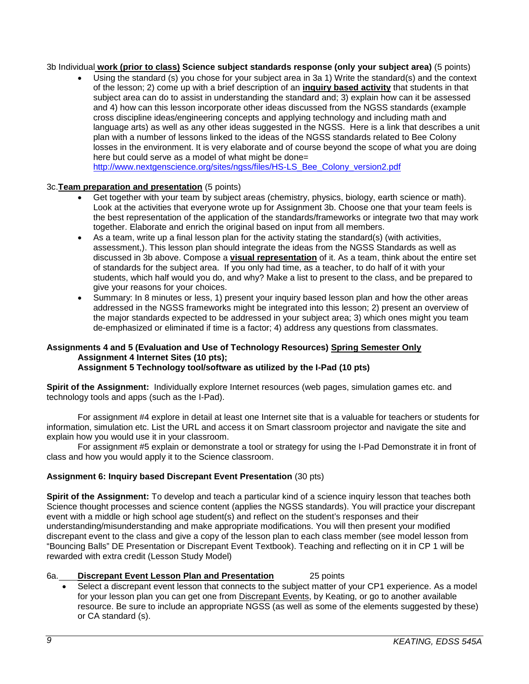#### 3b Individual **work (prior to class) Science subject standards response (only your subject area)** (5 points)

• Using the standard (s) you chose for your subject area in 3a 1) Write the standard(s) and the context of the lesson; 2) come up with a brief description of an **inquiry based activity** that students in that subject area can do to assist in understanding the standard and; 3) explain how can it be assessed and 4) how can this lesson incorporate other ideas discussed from the NGSS standards (example cross discipline ideas/engineering concepts and applying technology and including math and language arts) as well as any other ideas suggested in the NGSS. Here is a link that describes a unit plan with a number of lessons linked to the ideas of the NGSS standards related to Bee Colony losses in the environment. It is very elaborate and of course beyond the scope of what you are doing here but could serve as a model of what might be done= [http://www.nextgenscience.org/sites/ngss/files/HS-LS\\_Bee\\_Colony\\_version2.pdf](http://www.nextgenscience.org/sites/ngss/files/HS-LS_Bee_Colony_version2.pdf)

# 3c.**Team preparation and presentation** (5 points)

- Get together with your team by subject areas (chemistry, physics, biology, earth science or math). Look at the activities that everyone wrote up for Assignment 3b. Choose one that your team feels is the best representation of the application of the standards/frameworks or integrate two that may work together. Elaborate and enrich the original based on input from all members.
- As a team, write up a final lesson plan for the activity stating the standard(s) (with activities, assessment,). This lesson plan should integrate the ideas from the NGSS Standards as well as discussed in 3b above. Compose a **visual representation** of it. As a team, think about the entire set of standards for the subject area. If you only had time, as a teacher, to do half of it with your students, which half would you do, and why? Make a list to present to the class, and be prepared to give your reasons for your choices.
- Summary: In 8 minutes or less, 1) present your inquiry based lesson plan and how the other areas addressed in the NGSS frameworks might be integrated into this lesson; 2) present an overview of the major standards expected to be addressed in your subject area; 3) which ones might you team de-emphasized or eliminated if time is a factor; 4) address any questions from classmates.

#### **Assignments 4 and 5 (Evaluation and Use of Technology Resources) Spring Semester Only Assignment 4 Internet Sites (10 pts); Assignment 5 Technology tool/software as utilized by the I-Pad (10 pts)**

**Spirit of the Assignment:** Individually explore Internet resources (web pages, simulation games etc. and technology tools and apps (such as the I-Pad).

For assignment #4 explore in detail at least one Internet site that is a valuable for teachers or students for information, simulation etc. List the URL and access it on Smart classroom projector and navigate the site and explain how you would use it in your classroom.

For assignment #5 explain or demonstrate a tool or strategy for using the I-Pad Demonstrate it in front of class and how you would apply it to the Science classroom.

### **Assignment 6: Inquiry based Discrepant Event Presentation** (30 pts)

**Spirit of the Assignment:** To develop and teach a particular kind of a science inquiry lesson that teaches both Science thought processes and science content (applies the NGSS standards). You will practice your discrepant event with a middle or high school age student(s) and reflect on the student's responses and their understanding/misunderstanding and make appropriate modifications. You will then present your modified discrepant event to the class and give a copy of the lesson plan to each class member (see model lesson from "Bouncing Balls" DE Presentation or Discrepant Event Textbook). Teaching and reflecting on it in CP 1 will be rewarded with extra credit (Lesson Study Model)

#### 6a. **Discrepant Event Lesson Plan and Presentation** 25 points

Select a discrepant event lesson that connects to the subject matter of your CP1 experience. As a model for your lesson plan you can get one from Discrepant Events, by Keating, or go to another available resource. Be sure to include an appropriate NGSS (as well as some of the elements suggested by these) or CA standard (s).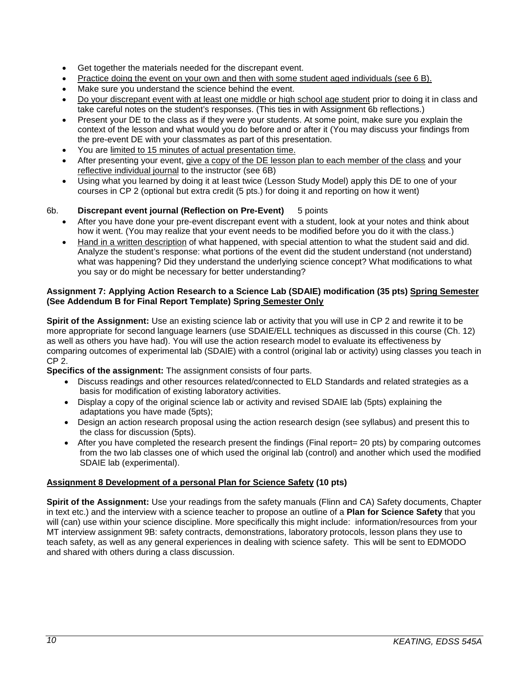- Get together the materials needed for the discrepant event.
- Practice doing the event on your own and then with some student aged individuals (see 6 B).
- Make sure you understand the science behind the event.
- Do your discrepant event with at least one middle or high school age student prior to doing it in class and take careful notes on the student's responses. (This ties in with Assignment 6b reflections.)
- Present your DE to the class as if they were your students. At some point, make sure you explain the context of the lesson and what would you do before and or after it (You may discuss your findings from the pre-event DE with your classmates as part of this presentation.
- You are limited to 15 minutes of actual presentation time.
- After presenting your event, give a copy of the DE lesson plan to each member of the class and your reflective individual journal to the instructor (see 6B)
- Using what you learned by doing it at least twice (Lesson Study Model) apply this DE to one of your courses in CP 2 (optional but extra credit (5 pts.) for doing it and reporting on how it went)

## 6b. **Discrepant event journal (Reflection on Pre-Event)** 5 points

- After you have done your pre-event discrepant event with a student, look at your notes and think about how it went. (You may realize that your event needs to be modified before you do it with the class.)
- Hand in a written description of what happened, with special attention to what the student said and did. Analyze the student's response: what portions of the event did the student understand (not understand) what was happening? Did they understand the underlying science concept? What modifications to what you say or do might be necessary for better understanding?

### **Assignment 7: Applying Action Research to a Science Lab (SDAIE) modification (35 pts) Spring Semester (See Addendum B for Final Report Template) Spring Semester Only**

**Spirit of the Assignment:** Use an existing science lab or activity that you will use in CP 2 and rewrite it to be more appropriate for second language learners (use SDAIE/ELL techniques as discussed in this course (Ch. 12) as well as others you have had). You will use the action research model to evaluate its effectiveness by comparing outcomes of experimental lab (SDAIE) with a control (original lab or activity) using classes you teach in CP 2.

**Specifics of the assignment:** The assignment consists of four parts.

- Discuss readings and other resources related/connected to ELD Standards and related strategies as a basis for modification of existing laboratory activities.
- Display a copy of the original science lab or activity and revised SDAIE lab (5pts) explaining the adaptations you have made (5pts);
- Design an action research proposal using the action research design (see syllabus) and present this to the class for discussion (5pts).
- After you have completed the research present the findings (Final report = 20 pts) by comparing outcomes from the two lab classes one of which used the original lab (control) and another which used the modified SDAIE lab (experimental).

## **Assignment 8 Development of a personal Plan for Science Safety (10 pts)**

**Spirit of the Assignment:** Use your readings from the safety manuals (Flinn and CA) Safety documents, Chapter in text etc.) and the interview with a science teacher to propose an outline of a **Plan for Science Safety** that you will (can) use within your science discipline. More specifically this might include: information/resources from your MT interview assignment 9B: safety contracts, demonstrations, laboratory protocols, lesson plans they use to teach safety, as well as any general experiences in dealing with science safety. This will be sent to EDMODO and shared with others during a class discussion.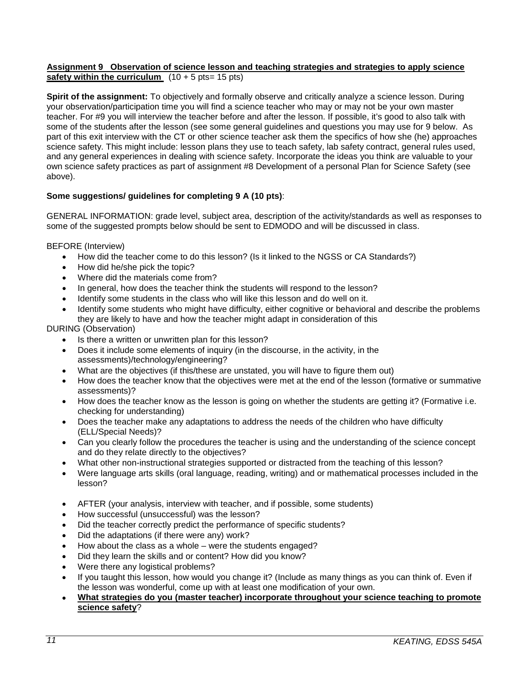#### **Assignment 9 Observation of science lesson and teaching strategies and strategies to apply science safety within the curriculum**  $(10 + 5 \text{ pts} = 15 \text{ pts})$

**Spirit of the assignment:** To objectively and formally observe and critically analyze a science lesson. During your observation/participation time you will find a science teacher who may or may not be your own master teacher. For #9 you will interview the teacher before and after the lesson. If possible, it's good to also talk with some of the students after the lesson (see some general guidelines and questions you may use for 9 below. As part of this exit interview with the CT or other science teacher ask them the specifics of how she (he) approaches science safety. This might include: lesson plans they use to teach safety, lab safety contract, general rules used, and any general experiences in dealing with science safety. Incorporate the ideas you think are valuable to your own science safety practices as part of assignment #8 Development of a personal Plan for Science Safety (see above).

## **Some suggestions/ guidelines for completing 9 A (10 pts)**:

GENERAL INFORMATION: grade level, subject area, description of the activity/standards as well as responses to some of the suggested prompts below should be sent to EDMODO and will be discussed in class.

BEFORE (Interview)

- How did the teacher come to do this lesson? (Is it linked to the NGSS or CA Standards?)
- How did he/she pick the topic?
- Where did the materials come from?
- In general, how does the teacher think the students will respond to the lesson?
- Identify some students in the class who will like this lesson and do well on it.
- Identify some students who might have difficulty, either cognitive or behavioral and describe the problems they are likely to have and how the teacher might adapt in consideration of this

DURING (Observation)

- Is there a written or unwritten plan for this lesson?
- Does it include some elements of inquiry (in the discourse, in the activity, in the assessments)/technology/engineering?
- What are the objectives (if this/these are unstated, you will have to figure them out)
- How does the teacher know that the objectives were met at the end of the lesson (formative or summative assessments)?
- How does the teacher know as the lesson is going on whether the students are getting it? (Formative i.e. checking for understanding)
- Does the teacher make any adaptations to address the needs of the children who have difficulty (ELL/Special Needs)?
- Can you clearly follow the procedures the teacher is using and the understanding of the science concept and do they relate directly to the objectives?
- What other non-instructional strategies supported or distracted from the teaching of this lesson?
- Were language arts skills (oral language, reading, writing) and or mathematical processes included in the lesson?
- AFTER (your analysis, interview with teacher, and if possible, some students)
- How successful (unsuccessful) was the lesson?
- Did the teacher correctly predict the performance of specific students?
- Did the adaptations (if there were any) work?
- How about the class as a whole were the students engaged?
- Did they learn the skills and or content? How did you know?
- Were there any logistical problems?
- If you taught this lesson, how would you change it? (Include as many things as you can think of. Even if the lesson was wonderful, come up with at least one modification of your own.
- **What strategies do you (master teacher) incorporate throughout your science teaching to promote science safety**?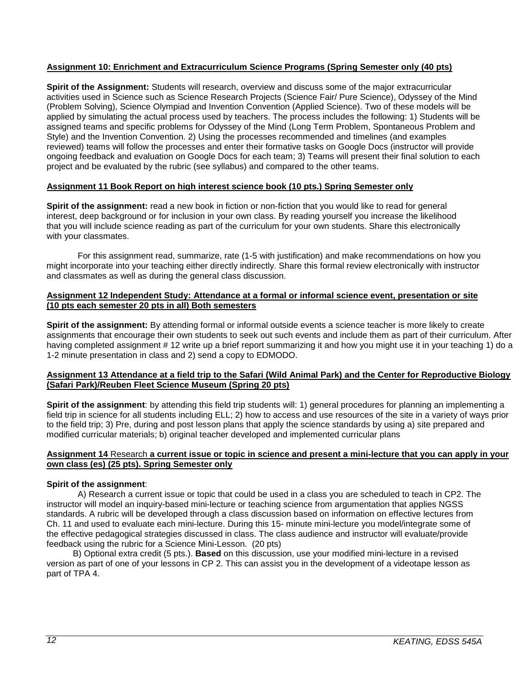## **Assignment 10: Enrichment and Extracurriculum Science Programs (Spring Semester only (40 pts)**

**Spirit of the Assignment:** Students will research, overview and discuss some of the major extracurricular activities used in Science such as Science Research Projects (Science Fair/ Pure Science), Odyssey of the Mind (Problem Solving), Science Olympiad and Invention Convention (Applied Science). Two of these models will be applied by simulating the actual process used by teachers. The process includes the following: 1) Students will be assigned teams and specific problems for Odyssey of the Mind (Long Term Problem, Spontaneous Problem and Style) and the Invention Convention. 2) Using the processes recommended and timelines (and examples reviewed) teams will follow the processes and enter their formative tasks on Google Docs (instructor will provide ongoing feedback and evaluation on Google Docs for each team; 3) Teams will present their final solution to each project and be evaluated by the rubric (see syllabus) and compared to the other teams.

### **Assignment 11 Book Report on high interest science book (10 pts.) Spring Semester only**

**Spirit of the assignment:** read a new book in fiction or non-fiction that you would like to read for general interest, deep background or for inclusion in your own class. By reading yourself you increase the likelihood that you will include science reading as part of the curriculum for your own students. Share this electronically with your classmates.

For this assignment read, summarize, rate (1-5 with justification) and make recommendations on how you might incorporate into your teaching either directly indirectly. Share this formal review electronically with instructor and classmates as well as during the general class discussion.

#### **Assignment 12 Independent Study: Attendance at a formal or informal science event, presentation or site (10 pts each semester 20 pts in all) Both semesters**

**Spirit of the assignment:** By attending formal or informal outside events a science teacher is more likely to create assignments that encourage their own students to seek out such events and include them as part of their curriculum. After having completed assignment # 12 write up a brief report summarizing it and how you might use it in your teaching 1) do a 1-2 minute presentation in class and 2) send a copy to EDMODO.

#### **Assignment 13 Attendance at a field trip to the Safari (Wild Animal Park) and the Center for Reproductive Biology (Safari Park)/Reuben Fleet Science Museum (Spring 20 pts)**

**Spirit of the assignment**: by attending this field trip students will: 1) general procedures for planning an implementing a field trip in science for all students including ELL; 2) how to access and use resources of the site in a variety of ways prior to the field trip; 3) Pre, during and post lesson plans that apply the science standards by using a) site prepared and modified curricular materials; b) original teacher developed and implemented curricular plans

#### **Assignment 14** Research **a current issue or topic in science and present a mini-lecture that you can apply in your own class (es) (25 pts). Spring Semester only**

### **Spirit of the assignment**:

A) Research a current issue or topic that could be used in a class you are scheduled to teach in CP2. The instructor will model an inquiry-based mini-lecture or teaching science from argumentation that applies NGSS standards. A rubric will be developed through a class discussion based on information on effective lectures from Ch. 11 and used to evaluate each mini-lecture. During this 15- minute mini-lecture you model/integrate some of the effective pedagogical strategies discussed in class. The class audience and instructor will evaluate/provide feedback using the rubric for a Science Mini-Lesson. (20 pts)

 B) Optional extra credit (5 pts.). **Based** on this discussion, use your modified mini-lecture in a revised version as part of one of your lessons in CP 2. This can assist you in the development of a videotape lesson as part of TPA 4.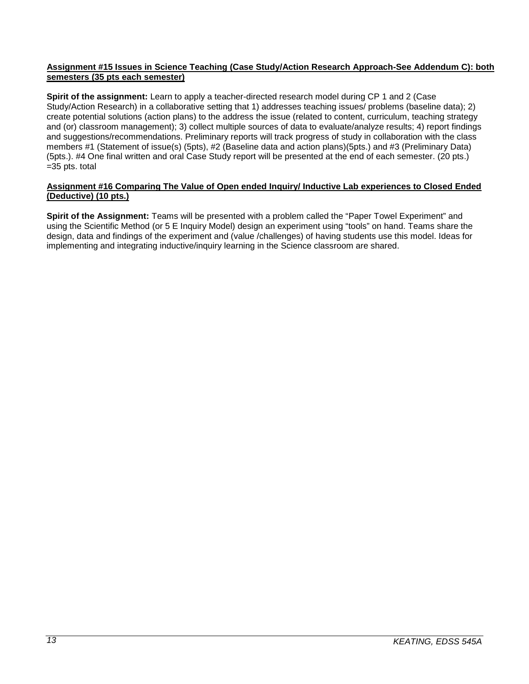### **Assignment #15 Issues in Science Teaching (Case Study/Action Research Approach-See Addendum C): both semesters (35 pts each semester)**

**Spirit of the assignment:** Learn to apply a teacher-directed research model during CP 1 and 2 (Case Study/Action Research) in a collaborative setting that 1) addresses teaching issues/ problems (baseline data); 2) create potential solutions (action plans) to the address the issue (related to content, curriculum, teaching strategy and (or) classroom management); 3) collect multiple sources of data to evaluate/analyze results; 4) report findings and suggestions/recommendations. Preliminary reports will track progress of study in collaboration with the class members #1 (Statement of issue(s) (5pts), #2 (Baseline data and action plans)(5pts.) and #3 (Preliminary Data) (5pts.). #4 One final written and oral Case Study report will be presented at the end of each semester. (20 pts.) =35 pts. total

#### **Assignment #16 Comparing The Value of Open ended Inquiry/ Inductive Lab experiences to Closed Ended (Deductive) (10 pts.)**

**Spirit of the Assignment:** Teams will be presented with a problem called the "Paper Towel Experiment" and using the Scientific Method (or 5 E Inquiry Model) design an experiment using "tools" on hand. Teams share the design, data and findings of the experiment and (value /challenges) of having students use this model. Ideas for implementing and integrating inductive/inquiry learning in the Science classroom are shared.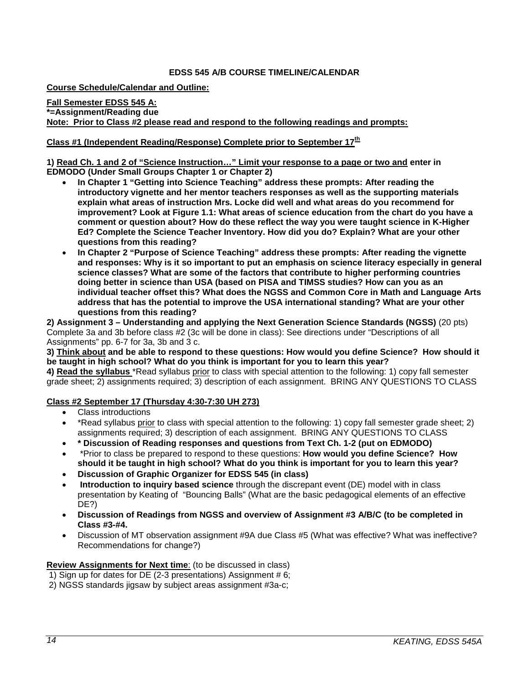#### **EDSS 545 A/B COURSE TIMELINE/CALENDAR**

<span id="page-13-1"></span><span id="page-13-0"></span>**Course Schedule/Calendar and Outline:** 

**Fall Semester EDSS 545 A: \*=Assignment/Reading due Note: Prior to Class #2 please read and respond to the following readings and prompts:** 

### **Class #1 (Independent Reading/Response) Complete prior to September 17th**

**1) Read Ch. 1 and 2 of "Science Instruction…" Limit your response to a page or two and enter in EDMODO (Under Small Groups Chapter 1 or Chapter 2)**

- **In Chapter 1 "Getting into Science Teaching" address these prompts: After reading the introductory vignette and her mentor teachers responses as well as the supporting materials explain what areas of instruction Mrs. Locke did well and what areas do you recommend for improvement? Look at Figure 1.1: What areas of science education from the chart do you have a comment or question about? How do these reflect the way you were taught science in K-Higher Ed? Complete the Science Teacher Inventory. How did you do? Explain? What are your other questions from this reading?**
- **In Chapter 2 "Purpose of Science Teaching" address these prompts: After reading the vignette and responses: Why is it so important to put an emphasis on science literacy especially in general science classes? What are some of the factors that contribute to higher performing countries doing better in science than USA (based on PISA and TIMSS studies? How can you as an individual teacher offset this? What does the NGSS and Common Core in Math and Language Arts address that has the potential to improve the USA international standing? What are your other questions from this reading?**

**2) Assignment 3 – Understanding and applying the Next Generation Science Standards (NGSS)** (20 pts) Complete 3a and 3b before class #2 (3c will be done in class): See directions under "Descriptions of all Assignments" pp. 6-7 for 3a, 3b and 3 c.

**3) Think about and be able to respond to these questions: How would you define Science? How should it be taught in high school? What do you think is important for you to learn this year?**

**4) Read the syllabus** \*Read syllabus prior to class with special attention to the following: 1) copy fall semester grade sheet; 2) assignments required; 3) description of each assignment. BRING ANY QUESTIONS TO CLASS

#### **Class #2 September 17 (Thursday 4:30-7:30 UH 273)**

- Class introductions
- \*Read syllabus prior to class with special attention to the following: 1) copy fall semester grade sheet; 2) assignments required; 3) description of each assignment. BRING ANY QUESTIONS TO CLASS
- **\* Discussion of Reading responses and questions from Text Ch. 1-2 (put on EDMODO)**
- \*Prior to class be prepared to respond to these questions: **How would you define Science? How should it be taught in high school? What do you think is important for you to learn this year?**
- **Discussion of Graphic Organizer for EDSS 545 (in class)**
- **Introduction to inquiry based science** through the discrepant event (DE) model with in class presentation by Keating of "Bouncing Balls" (What are the basic pedagogical elements of an effective DE?)
- **Discussion of Readings from NGSS and overview of Assignment #3 A/B/C (to be completed in Class #3-#4.**
- Discussion of MT observation assignment #9A due Class #5 (What was effective? What was ineffective? Recommendations for change?)

**Review Assignments for Next time**: (to be discussed in class)

- 1) Sign up for dates for DE (2-3 presentations) Assignment # 6;
- 2) NGSS standards jigsaw by subject areas assignment #3a-c;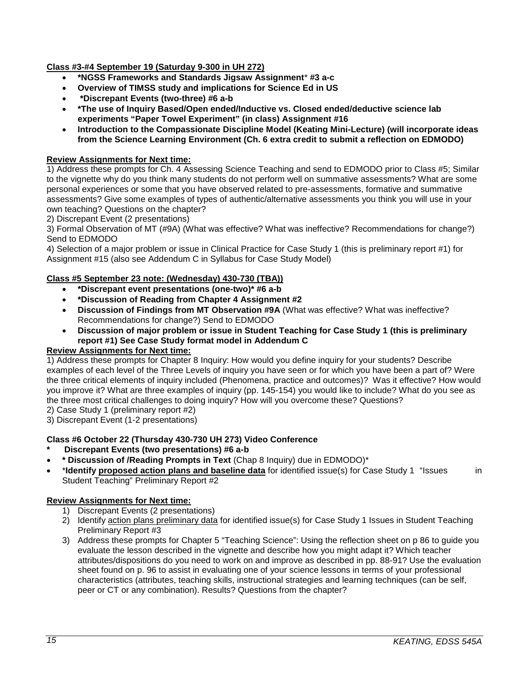## **Class #3-#4 September 19 (Saturday 9-300 in UH 272)**

- **\*NGSS Frameworks and Standards Jigsaw Assignment**\* **#3 a-c**
- **Overview of TIMSS study and implications for Science Ed in US**
- **\*Discrepant Events (two-three) #6 a-b**
- **\*The use of Inquiry Based/Open ended/Inductive vs. Closed ended/deductive science lab experiments "Paper Towel Experiment" (in class) Assignment #16**
- **Introduction to the Compassionate Discipline Model (Keating Mini-Lecture) (will incorporate ideas from the Science Learning Environment (Ch. 6 extra credit to submit a reflection on EDMODO)**

### **Review Assignments for Next time:**

1) Address these prompts for Ch. 4 Assessing Science Teaching and send to EDMODO prior to Class #5; Similar to the vignette why do you think many students do not perform well on summative assessments? What are some personal experiences or some that you have observed related to pre-assessments, formative and summative assessments? Give some examples of types of authentic/alternative assessments you think you will use in your own teaching? Questions on the chapter?

2) Discrepant Event (2 presentations)

3) Formal Observation of MT (#9A) (What was effective? What was ineffective? Recommendations for change?) Send to EDMODO

4) Selection of a major problem or issue in Clinical Practice for Case Study 1 (this is preliminary report #1) for Assignment #15 (also see Addendum C in Syllabus for Case Study Model)

#### **Class #5 September 23 note: (Wednesday) 430-730 (TBA))**

- **\*Discrepant event presentations (one-two)\* #6 a-b**
- **\*Discussion of Reading from Chapter 4 Assignment #2**
- **Discussion of Findings from MT Observation #9A** (What was effective? What was ineffective? Recommendations for change?) Send to EDMODO
- **Discussion of major problem or issue in Student Teaching for Case Study 1 (this is preliminary report #1) See Case Study format model in Addendum C**

### **Review Assignments for Next time:**

1) Address these prompts for Chapter 8 Inquiry: How would you define inquiry for your students? Describe examples of each level of the Three Levels of inquiry you have seen or for which you have been a part of? Were the three critical elements of inquiry included (Phenomena, practice and outcomes)? Was it effective? How would you improve it? What are three examples of inquiry (pp. 145-154) you would like to include? What do you see as the three most critical challenges to doing inquiry? How will you overcome these? Questions?

2) Case Study 1 (preliminary report #2)

3) Discrepant Event (1-2 presentations)

### **Class #6 October 22 (Thursday 430-730 UH 273) Video Conference**

- **\* Discrepant Events (two presentations) #6 a-b**
- **\* Discussion of /Reading Prompts in Text** (Chap 8 Inquiry) due in EDMODO)\*
- \***Identify proposed action plans and baseline data** for identified issue(s) for Case Study 1 "Issues in Student Teaching" Preliminary Report #2

#### **Review Assignments for Next time:**

- 1) Discrepant Events (2 presentations)
- 2) Identify action plans preliminary data for identified issue(s) for Case Study 1 Issues in Student Teaching Preliminary Report #3
- 3) Address these prompts for Chapter 5 "Teaching Science": Using the reflection sheet on p 86 to guide you evaluate the lesson described in the vignette and describe how you might adapt it? Which teacher attributes/dispositions do you need to work on and improve as described in pp. 88-91? Use the evaluation sheet found on p. 96 to assist in evaluating one of your science lessons in terms of your professional characteristics (attributes, teaching skills, instructional strategies and learning techniques (can be self, peer or CT or any combination). Results? Questions from the chapter?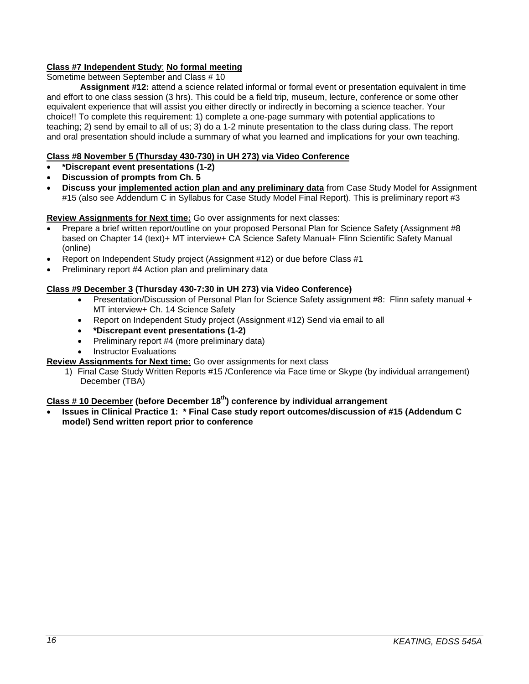## **Class #7 Independent Study**: **No formal meeting**

Sometime between September and Class # 10

**Assignment #12:** attend a science related informal or formal event or presentation equivalent in time and effort to one class session (3 hrs). This could be a field trip, museum, lecture, conference or some other equivalent experience that will assist you either directly or indirectly in becoming a science teacher. Your choice!! To complete this requirement: 1) complete a one-page summary with potential applications to teaching; 2) send by email to all of us; 3) do a 1-2 minute presentation to the class during class. The report and oral presentation should include a summary of what you learned and implications for your own teaching.

## **Class #8 November 5 (Thursday 430-730) in UH 273) via Video Conference**

- **\*Discrepant event presentations (1-2)**
- **Discussion of prompts from Ch. 5**
- **Discuss your implemented action plan and any preliminary data** from Case Study Model for Assignment #15 (also see Addendum C in Syllabus for Case Study Model Final Report). This is preliminary report #3

### **Review Assignments for Next time:** Go over assignments for next classes:

- Prepare a brief written report/outline on your proposed Personal Plan for Science Safety (Assignment #8 based on Chapter 14 (text)+ MT interview+ CA Science Safety Manual+ Flinn Scientific Safety Manual (online)
- Report on Independent Study project (Assignment #12) or due before Class #1
- Preliminary report #4 Action plan and preliminary data

## **Class #9 December 3 (Thursday 430-7:30 in UH 273) via Video Conference)**

- Presentation/Discussion of Personal Plan for Science Safety assignment #8: Flinn safety manual + MT interview+ Ch. 14 Science Safety
- Report on Independent Study project (Assignment #12) Send via email to all
- **\*Discrepant event presentations (1-2)**
- Preliminary report #4 (more preliminary data)
- **Instructor Evaluations**

### **Review Assignments for Next time:** Go over assignments for next class

1) Final Case Study Written Reports #15 /Conference via Face time or Skype (by individual arrangement) December (TBA)

# **Class # 10 December (before December 18th) conference by individual arrangement**

• **Issues in Clinical Practice 1: \* Final Case study report outcomes/discussion of #15 (Addendum C model) Send written report prior to conference**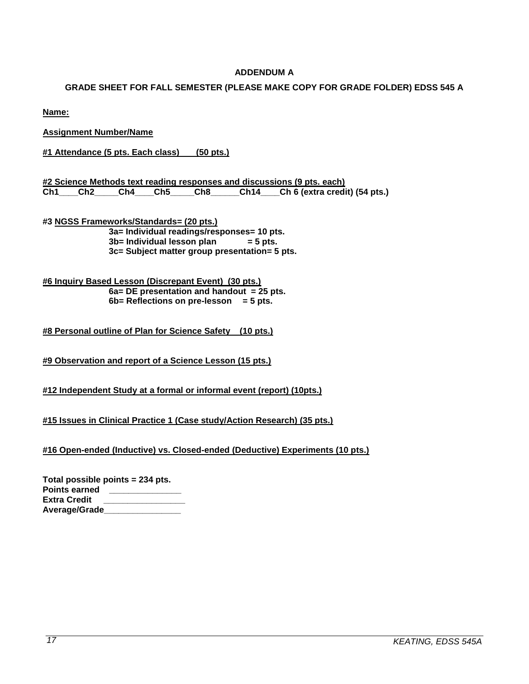## **ADDENDUM A**

#### <span id="page-16-1"></span><span id="page-16-0"></span>**GRADE SHEET FOR FALL SEMESTER (PLEASE MAKE COPY FOR GRADE FOLDER) EDSS 545 A**

**Name:**

**Assignment Number/Name**

**#1 Attendance (5 pts. Each class) (50 pts.)**

**#2 Science Methods text reading responses and discussions (9 pts. each)** Ch<sup>14</sup> Ch<sub>6</sub> (extra credit) (54 pts.)

**#3 NGSS Frameworks/Standards= (20 pts.) 3a= Individual readings/responses= 10 pts. 3b= Individual lesson plan 3c= Subject matter group presentation= 5 pts.**

**#6 Inquiry Based Lesson (Discrepant Event) (30 pts.) 6a= DE presentation and handout = 25 pts. 6b= Reflections on pre-lesson = 5 pts.**

**#8 Personal outline of Plan for Science Safety (10 pts.)**

**#9 Observation and report of a Science Lesson (15 pts.)**

**#12 Independent Study at a formal or informal event (report) (10pts.)**

**#15 Issues in Clinical Practice 1 (Case study/Action Research) (35 pts.)**

**#16 Open-ended (Inductive) vs. Closed-ended (Deductive) Experiments (10 pts.)**

| Total possible points = 234 pts. |  |
|----------------------------------|--|
| <b>Points earned</b>             |  |
| <b>Extra Credit</b>              |  |
| Average/Grade                    |  |